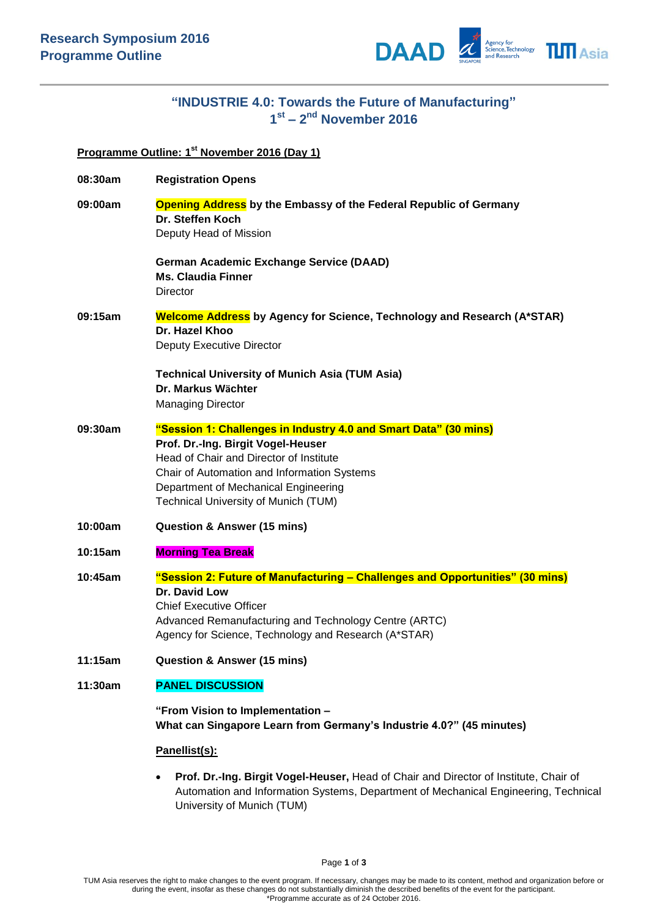

## **"INDUSTRIE 4.0: Towards the Future of Manufacturing" 1 st – 2 nd November 2016**

## **Programme Outline: 1 st November 2016 (Day 1)**

| 08:30am | <b>Registration Opens</b>                                                                                                                                                                                                                                                               |
|---------|-----------------------------------------------------------------------------------------------------------------------------------------------------------------------------------------------------------------------------------------------------------------------------------------|
| 09:00am | <b>Opening Address</b> by the Embassy of the Federal Republic of Germany<br>Dr. Steffen Koch<br>Deputy Head of Mission                                                                                                                                                                  |
|         | <b>German Academic Exchange Service (DAAD)</b><br><b>Ms. Claudia Finner</b><br>Director                                                                                                                                                                                                 |
| 09:15am | <b>Welcome Address</b> by Agency for Science, Technology and Research (A*STAR)<br>Dr. Hazel Khoo<br>Deputy Executive Director                                                                                                                                                           |
|         | <b>Technical University of Munich Asia (TUM Asia)</b><br>Dr. Markus Wächter<br><b>Managing Director</b>                                                                                                                                                                                 |
| 09:30am | "Session 1: Challenges in Industry 4.0 and Smart Data" (30 mins)<br>Prof. Dr.-Ing. Birgit Vogel-Heuser<br>Head of Chair and Director of Institute<br>Chair of Automation and Information Systems<br>Department of Mechanical Engineering<br><b>Technical University of Munich (TUM)</b> |
| 10:00am | <b>Question &amp; Answer (15 mins)</b>                                                                                                                                                                                                                                                  |
| 10:15am | <b>Morning Tea Break</b>                                                                                                                                                                                                                                                                |
| 10:45am | "Session 2: Future of Manufacturing - Challenges and Opportunities" (30 mins)<br>Dr. David Low<br><b>Chief Executive Officer</b><br>Advanced Remanufacturing and Technology Centre (ARTC)<br>Agency for Science, Technology and Research (A*STAR)                                       |
| 11:15am | <b>Question &amp; Answer (15 mins)</b>                                                                                                                                                                                                                                                  |
| 11:30am | <b>PANEL DISCUSSION</b>                                                                                                                                                                                                                                                                 |
|         | "From Vision to Implementation -<br>What can Singapore Learn from Germany's Industrie 4.0?" (45 minutes)                                                                                                                                                                                |
|         | Panellist(s):                                                                                                                                                                                                                                                                           |
|         | Prof. Dr.-Ing. Birgit Vogel-Heuser, Head of Chair and Director of Institute, Chair of<br>$\bullet$<br>Automation and Information Systems, Department of Mechanical Engineering, Technical                                                                                               |

University of Munich (TUM)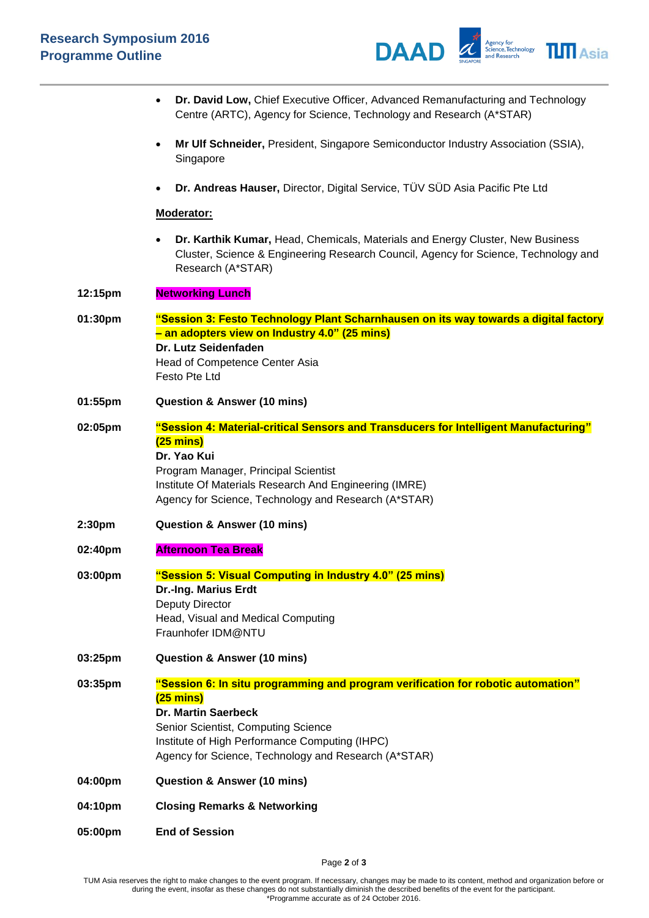

|         | Dr. David Low, Chief Executive Officer, Advanced Remanufacturing and Technology<br>$\bullet$<br>Centre (ARTC), Agency for Science, Technology and Research (A*STAR)                                                                                                                    |
|---------|----------------------------------------------------------------------------------------------------------------------------------------------------------------------------------------------------------------------------------------------------------------------------------------|
|         | Mr Ulf Schneider, President, Singapore Semiconductor Industry Association (SSIA),<br>Singapore                                                                                                                                                                                         |
|         | Dr. Andreas Hauser, Director, Digital Service, TÜV SÜD Asia Pacific Pte Ltd                                                                                                                                                                                                            |
|         | Moderator:                                                                                                                                                                                                                                                                             |
|         | Dr. Karthik Kumar, Head, Chemicals, Materials and Energy Cluster, New Business<br>Cluster, Science & Engineering Research Council, Agency for Science, Technology and<br>Research (A*STAR)                                                                                             |
| 12:15pm | <b>Networking Lunch</b>                                                                                                                                                                                                                                                                |
| 01:30pm | "Session 3: Festo Technology Plant Scharnhausen on its way towards a digital factory<br>- an adopters view on Industry 4.0" (25 mins)<br>Dr. Lutz Seidenfaden<br>Head of Competence Center Asia<br>Festo Pte Ltd                                                                       |
| 01:55pm | <b>Question &amp; Answer (10 mins)</b>                                                                                                                                                                                                                                                 |
| 02:05pm | "Session 4: Material-critical Sensors and Transducers for Intelligent Manufacturing"<br>$(25 \text{ mins})$<br>Dr. Yao Kui<br>Program Manager, Principal Scientist<br>Institute Of Materials Research And Engineering (IMRE)<br>Agency for Science, Technology and Research (A*STAR)   |
| 2:30pm  | <b>Question &amp; Answer (10 mins)</b>                                                                                                                                                                                                                                                 |
| 02:40pm | <b>Afternoon Tea Break</b>                                                                                                                                                                                                                                                             |
| 03:00pm | "Session 5: Visual Computing in Industry 4.0" (25 mins)<br>Dr.-Ing. Marius Erdt<br>Deputy Director<br>Head, Visual and Medical Computing<br>Fraunhofer IDM@NTU                                                                                                                         |
| 03:25pm | <b>Question &amp; Answer (10 mins)</b>                                                                                                                                                                                                                                                 |
| 03:35pm | "Session 6: In situ programming and program verification for robotic automation"<br>$(25 \text{ mins})$<br><b>Dr. Martin Saerbeck</b><br>Senior Scientist, Computing Science<br>Institute of High Performance Computing (IHPC)<br>Agency for Science, Technology and Research (A*STAR) |
| 04:00pm | <b>Question &amp; Answer (10 mins)</b>                                                                                                                                                                                                                                                 |
| 04:10pm | <b>Closing Remarks &amp; Networking</b>                                                                                                                                                                                                                                                |
| 05:00pm | <b>End of Session</b>                                                                                                                                                                                                                                                                  |